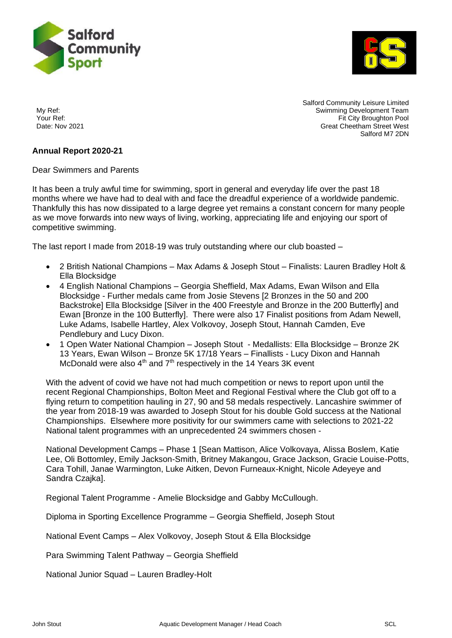



Salford Community Leisure Limited My Ref: Swimming Development Team Your Ref: The Sour Ref: The Sour Ref: The Sour Ref: The Sour Ref: The Sour Ref: The Sour Ref: The Source Ref and Date: Nov 2021<br>Creat Cheetham Street West **Great Cheetham Street West** Salford M7 2DN

## **Annual Report 2020-21**

Dear Swimmers and Parents

It has been a truly awful time for swimming, sport in general and everyday life over the past 18 months where we have had to deal with and face the dreadful experience of a worldwide pandemic. Thankfully this has now dissipated to a large degree yet remains a constant concern for many people as we move forwards into new ways of living, working, appreciating life and enjoying our sport of competitive swimming.

The last report I made from 2018-19 was truly outstanding where our club boasted –

- 2 British National Champions Max Adams & Joseph Stout Finalists: Lauren Bradley Holt & Ella Blocksidge
- 4 English National Champions Georgia Sheffield, Max Adams, Ewan Wilson and Ella Blocksidge - Further medals came from Josie Stevens [2 Bronzes in the 50 and 200 Backstroke] Ella Blocksidge [Silver in the 400 Freestyle and Bronze in the 200 Butterfly] and Ewan [Bronze in the 100 Butterfly]. There were also 17 Finalist positions from Adam Newell, Luke Adams, Isabelle Hartley, Alex Volkovoy, Joseph Stout, Hannah Camden, Eve Pendlebury and Lucy Dixon.
- 1 Open Water National Champion Joseph Stout Medallists: Ella Blocksidge Bronze 2K 13 Years, Ewan Wilson – Bronze 5K 17/18 Years – Finallists - Lucy Dixon and Hannah McDonald were also  $4<sup>th</sup>$  and  $7<sup>th</sup>$  respectively in the 14 Years 3K event

With the advent of covid we have not had much competition or news to report upon until the recent Regional Championships, Bolton Meet and Regional Festival where the Club got off to a flying return to competition hauling in 27, 90 and 58 medals respectively. Lancashire swimmer of the year from 2018-19 was awarded to Joseph Stout for his double Gold success at the National Championships. Elsewhere more positivity for our swimmers came with selections to 2021-22 National talent programmes with an unprecedented 24 swimmers chosen -

National Development Camps – Phase 1 [Sean Mattison, Alice Volkovaya, Alissa Boslem, Katie Lee, Oli Bottomley, Emily Jackson-Smith, Britney Makangou, Grace Jackson, Gracie Louise-Potts, Cara Tohill, Janae Warmington, Luke Aitken, Devon Furneaux-Knight, Nicole Adeyeye and Sandra Czajka].

Regional Talent Programme - Amelie Blocksidge and Gabby McCullough.

Diploma in Sporting Excellence Programme – Georgia Sheffield, Joseph Stout

National Event Camps – Alex Volkovoy, Joseph Stout & Ella Blocksidge

Para Swimming Talent Pathway – Georgia Sheffield

National Junior Squad – Lauren Bradley-Holt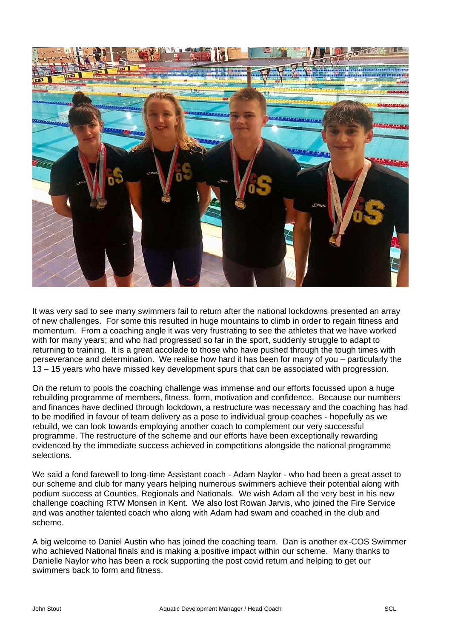

It was very sad to see many swimmers fail to return after the national lockdowns presented an array of new challenges. For some this resulted in huge mountains to climb in order to regain fitness and momentum. From a coaching angle it was very frustrating to see the athletes that we have worked with for many years; and who had progressed so far in the sport, suddenly struggle to adapt to returning to training. It is a great accolade to those who have pushed through the tough times with perseverance and determination. We realise how hard it has been for many of you – particularly the 13 – 15 years who have missed key development spurs that can be associated with progression.

On the return to pools the coaching challenge was immense and our efforts focussed upon a huge rebuilding programme of members, fitness, form, motivation and confidence. Because our numbers and finances have declined through lockdown, a restructure was necessary and the coaching has had to be modified in favour of team delivery as a pose to individual group coaches - hopefully as we rebuild, we can look towards employing another coach to complement our very successful programme. The restructure of the scheme and our efforts have been exceptionally rewarding evidenced by the immediate success achieved in competitions alongside the national programme selections.

We said a fond farewell to long-time Assistant coach - Adam Naylor - who had been a great asset to our scheme and club for many years helping numerous swimmers achieve their potential along with podium success at Counties, Regionals and Nationals. We wish Adam all the very best in his new challenge coaching RTW Monsen in Kent. We also lost Rowan Jarvis, who joined the Fire Service and was another talented coach who along with Adam had swam and coached in the club and scheme.

A big welcome to Daniel Austin who has joined the coaching team. Dan is another ex-COS Swimmer who achieved National finals and is making a positive impact within our scheme. Many thanks to Danielle Naylor who has been a rock supporting the post covid return and helping to get our swimmers back to form and fitness.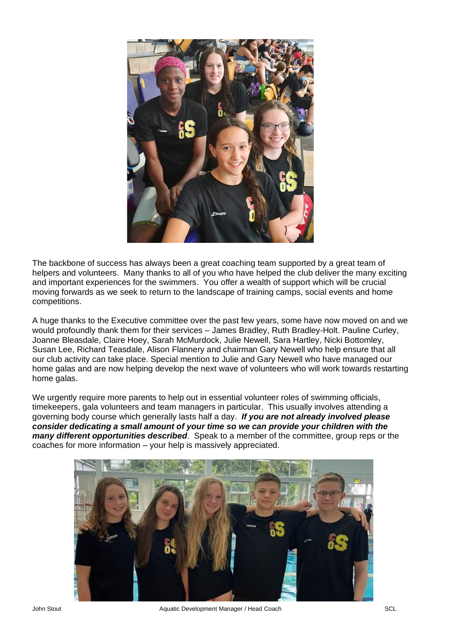

The backbone of success has always been a great coaching team supported by a great team of helpers and volunteers. Many thanks to all of you who have helped the club deliver the many exciting and important experiences for the swimmers. You offer a wealth of support which will be crucial moving forwards as we seek to return to the landscape of training camps, social events and home competitions.

A huge thanks to the Executive committee over the past few years, some have now moved on and we would profoundly thank them for their services – James Bradley, Ruth Bradley-Holt. Pauline Curley, Joanne Bleasdale, Claire Hoey, Sarah McMurdock, Julie Newell, Sara Hartley, Nicki Bottomley, Susan Lee, Richard Teasdale, Alison Flannery and chairman Gary Newell who help ensure that all our club activity can take place. Special mention to Julie and Gary Newell who have managed our home galas and are now helping develop the next wave of volunteers who will work towards restarting home galas.

We urgently require more parents to help out in essential volunteer roles of swimming officials, timekeepers, gala volunteers and team managers in particular. This usually involves attending a governing body course which generally lasts half a day. *If you are not already involved please consider dedicating a small amount of your time so we can provide your children with the many different opportunities described*. Speak to a member of the committee, group reps or the coaches for more information – your help is massively appreciated.